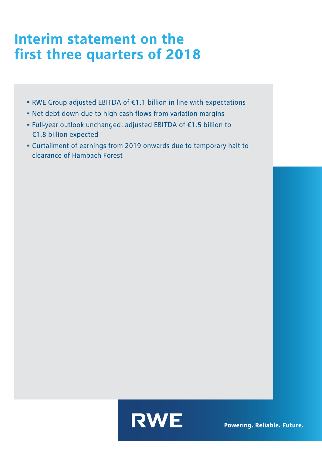## Interim statement on the first three quarters of 2018

- RWE Group adjusted EBITDA of €1.1 billion in line with expectations
- Net debt down due to high cash flows from variation margins
- Full-year outlook unchanged: adjusted EBITDA of €1.5 billion to €1.8 billion expected
- Curtailment of earnings from 2019 onwards due to temporary halt to clearance of Hambach Forest



Powering. Reliable. Future.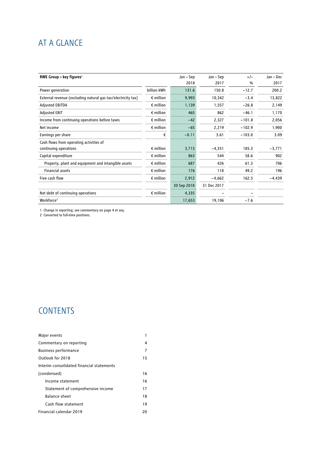## AT A GLANCE

| RWE Group - key figures <sup>1</sup>                         |                    | Jan – Sep   | Jan - Sep   | $+/-$    | Jan - Dec |
|--------------------------------------------------------------|--------------------|-------------|-------------|----------|-----------|
|                                                              |                    | 2018        | 2017        | %        | 2017      |
| Power generation                                             | billion kWh        | 131.6       | 150.8       | $-12.7$  | 200.2     |
| External revenue (excluding natural gas tax/electricity tax) | $\epsilon$ million | 9,993       | 10,342      | $-3.4$   | 13,822    |
| <b>Adjusted EBITDA</b>                                       | $\epsilon$ million | 1,139       | 1,557       | $-26.8$  | 2,149     |
| <b>Adjusted EBIT</b>                                         | $\epsilon$ million | 465         | 862         | $-46.1$  | 1,170     |
| Income from continuing operations before taxes               | $\epsilon$ million | $-42$       | 2,327       | $-101.8$ | 2,056     |
| Net income                                                   | $\epsilon$ million | $-65$       | 2,219       | $-102.9$ | 1,900     |
| Earnings per share                                           | €                  | $-0.11$     | 3.61        | $-103.0$ | 3.09      |
| Cash flows from operating activities of                      |                    |             |             |          |           |
| continuing operations                                        | $\epsilon$ million | 3,713       | $-4,351$    | 185.3    | $-3,771$  |
| Capital expenditure                                          | $\epsilon$ million | 863         | 544         | 58.6     | 902       |
| Property, plant and equipment and intangible assets          | $\epsilon$ million | 687         | 426         | 61.3     | 706       |
| <b>Financial assets</b>                                      | $\epsilon$ million | 176         | 118         | 49.2     | 196       |
| Free cash flow                                               | $\epsilon$ million | 2,912       | $-4,662$    | 162.5    | $-4,439$  |
|                                                              |                    | 30 Sep 2018 | 31 Dec 2017 |          |           |
| Net debt of continuing operations                            | $\epsilon$ million | 4,335       |             | -        |           |
| Workforce <sup>2</sup>                                       |                    | 17,653      | 19,106      | $-7.6$   |           |

1 Change in reporting; see commentary on page 4 et seq.

2 Converted to full-time positions.

## **CONTENTS**

| Major events                              |    |
|-------------------------------------------|----|
| Commentary on reporting                   | 4  |
| <b>Business performance</b>               | 7  |
| Outlook for 2018                          | 15 |
| Interim consolidated financial statements |    |
| (condensed)                               | 16 |
| Income statement                          | 16 |
| Statement of comprehensive income         | 17 |
| <b>Balance sheet</b>                      | 18 |
| Cash flow statement                       | 19 |
| Financial calendar 2019                   | 20 |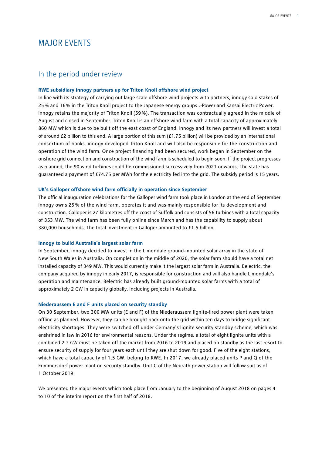## MAJOR EVENTS

#### In the period under review

#### **RWE subsidiary innogy partners up for Triton Knoll offshore wind project**

In line with its strategy of carrying out large-scale offshore wind projects with partners, innogy sold stakes of 25% and 16% in the Triton Knoll project to the Japanese energy groups J-Power and Kansai Electric Power. innogy retains the majority of Triton Knoll (59 %). The transaction was contractually agreed in the middle of August and closed in September. Triton Knoll is an offshore wind farm with a total capacity of approximately 860 MW which is due to be built off the east coast of England. innogy and its new partners will invest a total of around £2 billion to this end. A large portion of this sum (£1.75 billion) will be provided by an international consortium of banks. innogy developed Triton Knoll and will also be responsible for the construction and operation of the wind farm. Once project financing had been secured, work began in September on the onshore grid connection and construction of the wind farm is scheduled to begin soon. If the project progresses as planned, the 90 wind turbines could be commissioned successively from 2021 onwards. The state has guaranteed a payment of £74.75 per MWh for the electricity fed into the grid. The subsidy period is 15 years.

#### **UK's Galloper offshore wind farm officially in operation since September**

The official inauguration celebrations for the Galloper wind farm took place in London at the end of September. innogy owns 25 % of the wind farm, operates it and was mainly responsible for its development and construction. Galloper is 27 kilometres off the coast of Suffolk and consists of 56 turbines with a total capacity of 353 MW. The wind farm has been fully online since March and has the capability to supply about 380,000 households. The total investment in Galloper amounted to £1.5 billion.

#### **innogy to build Australia's largest solar farm**

In September, innogy decided to invest in the Limondale ground-mounted solar array in the state of New South Wales in Australia. On completion in the middle of 2020, the solar farm should have a total net installed capacity of 349 MW. This would currently make it the largest solar farm in Australia. Belectric, the company acquired by innogy in early 2017, is responsible for construction and will also handle Limondale's operation and maintenance. Belectric has already built ground-mounted solar farms with a total of approximately 2 GW in capacity globally, including projects in Australia.

#### **Niederaussem E and F units placed on security standby**

On 30 September, two 300 MW units (E and F) of the Niederaussem lignite-fired power plant were taken offline as planned. However, they can be brought back onto the grid within ten days to bridge significant electricity shortages. They were switched off under Germany's lignite security standby scheme, which was enshrined in law in 2016 for environmental reasons. Under the regime, a total of eight lignite units with a combined 2.7 GW must be taken off the market from 2016 to 2019 and placed on standby as the last resort to ensure security of supply for four years each until they are shut down for good. Five of the eight stations, which have a total capacity of 1.5 GW, belong to RWE. In 2017, we already placed units P and Q of the Frimmersdorf power plant on security standby. Unit C of the Neurath power station will follow suit as of 1 October 2019.

We presented the major events which took place from January to the beginning of August 2018 on pages 4 to 10 of the interim report on the first half of 2018.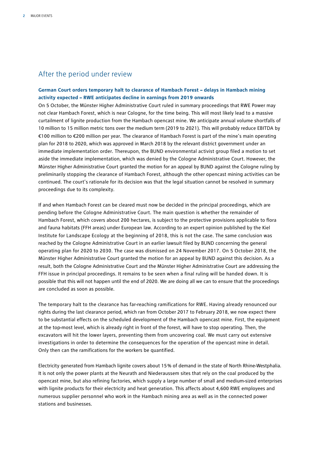#### After the period under review

#### **German Court orders temporary halt to clearance of Hambach Forest – delays in Hambach mining activity expected – RWE anticipates decline in earnings from 2019 onwards**

On 5 October, the Münster Higher Administrative Court ruled in summary proceedings that RWE Power may not clear Hambach Forest, which is near Cologne, for the time being. This will most likely lead to a massive curtailment of lignite production from the Hambach opencast mine. We anticipate annual volume shortfalls of 10 million to 15 million metric tons over the medium term (2019 to 2021). This will probably reduce EBITDA by €100 million to €200 million per year. The clearance of Hambach Forest is part of the mine's main operating plan for 2018 to 2020, which was approved in March 2018 by the relevant district government under an immediate implementation order. Thereupon, the BUND environmental activist group filed a motion to set aside the immediate implementation, which was denied by the Cologne Administrative Court. However, the Münster Higher Administrative Court granted the motion for an appeal by BUND against the Cologne ruling by preliminarily stopping the clearance of Hambach Forest, although the other opencast mining activities can be continued. The court's rationale for its decision was that the legal situation cannot be resolved in summary proceedings due to its complexity.

If and when Hambach Forest can be cleared must now be decided in the principal proceedings, which are pending before the Cologne Administrative Court. The main question is whether the remainder of Hambach Forest, which covers about 200 hectares, is subject to the protective provisions applicable to flora and fauna habitats (FFH areas) under European law. According to an expert opinion published by the Kiel Institute for Landscape Ecology at the beginning of 2018, this is not the case. The same conclusion was reached by the Cologne Administrative Court in an earlier lawsuit filed by BUND concerning the general operating plan for 2020 to 2030. The case was dismissed on 24 November 2017. On 5 October 2018, the Münster Higher Administrative Court granted the motion for an appeal by BUND against this decision. As a result, both the Cologne Administrative Court and the Münster Higher Administrative Court are addressing the FFH issue in principal proceedings. It remains to be seen when a final ruling will be handed down. It is possible that this will not happen until the end of 2020. We are doing all we can to ensure that the proceedings are concluded as soon as possible.

The temporary halt to the clearance has far-reaching ramifications for RWE. Having already renounced our rights during the last clearance period, which ran from October 2017 to February 2018, we now expect there to be substantial effects on the scheduled development of the Hambach opencast mine. First, the equipment at the top-most level, which is already right in front of the forest, will have to stop operating. Then, the excavators will hit the lower layers, preventing them from uncovering coal. We must carry out extensive investigations in order to determine the consequences for the operation of the opencast mine in detail. Only then can the ramifications for the workers be quantified.

Electricity generated from Hambach lignite covers about 15% of demand in the state of North Rhine-Westphalia. It is not only the power plants at the Neurath and Niederaussem sites that rely on the coal produced by the opencast mine, but also refining factories, which supply a large number of small and medium-sized enterprises with lignite products for their electricity and heat generation. This affects about 4,600 RWE employees and numerous supplier personnel who work in the Hambach mining area as well as in the connected power stations and businesses.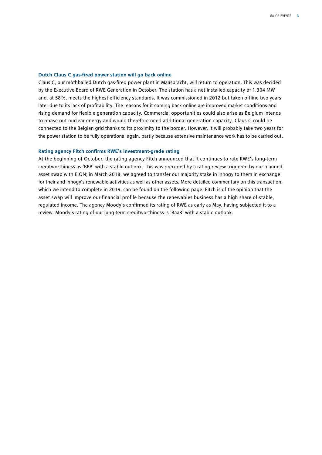#### **Dutch Claus C gas-fired power station will go back online**

Claus C, our mothballed Dutch gas-fired power plant in Maasbracht, will return to operation. This was decided by the Executive Board of RWE Generation in October. The station has a net installed capacity of 1,304 MW and, at 58%, meets the highest efficiency standards. It was commissioned in 2012 but taken offline two years later due to its lack of profitability. The reasons for it coming back online are improved market conditions and rising demand for flexible generation capacity. Commercial opportunities could also arise as Belgium intends to phase out nuclear energy and would therefore need additional generation capacity. Claus C could be connected to the Belgian grid thanks to its proximity to the border. However, it will probably take two years for the power station to be fully operational again, partly because extensive maintenance work has to be carried out.

#### **Rating agency Fitch confirms RWE's investment-grade rating**

At the beginning of October, the rating agency Fitch announced that it continues to rate RWE's long-term creditworthiness as 'BBB' with a stable outlook. This was preceded by a rating review triggered by our planned asset swap with E.ON; in March 2018, we agreed to transfer our majority stake in innogy to them in exchange for their and innogy's renewable activities as well as other assets. More detailed commentary on this transaction, which we intend to complete in 2019, can be found on the following page. Fitch is of the opinion that the asset swap will improve our financial profile because the renewables business has a high share of stable, regulated income. The agency Moody's confirmed its rating of RWE as early as May, having subjected it to a review. Moody's rating of our long-term creditworthiness is 'Baa3' with a stable outlook.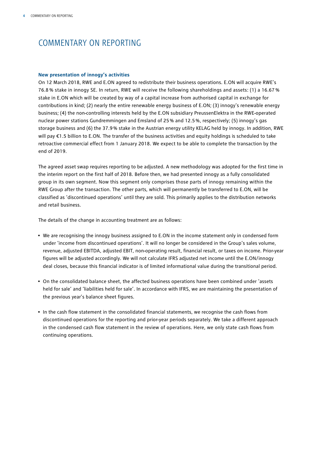## COMMENTARY ON REPORTING

#### **New presentation of innogy's activities**

On 12 March 2018, RWE and E.ON agreed to redistribute their business operations. E.ON will acquire RWE's 76.8 % stake in innogy SE. In return, RWE will receive the following shareholdings and assets: (1) a 16.67 % stake in E.ON which will be created by way of a capital increase from authorised capital in exchange for contributions in kind; (2) nearly the entire renewable energy business of E.ON; (3) innogy's renewable energy business; (4) the non-controlling interests held by the E.ON subsidiary PreussenElektra in the RWE-operated nuclear power stations Gundremmingen and Emsland of 25% and 12.5%, respectively; (5) innogy's gas storage business and (6) the 37.9% stake in the Austrian energy utility KELAG held by innogy. In addition, RWE will pay €1.5 billion to E.ON. The transfer of the business activities and equity holdings is scheduled to take retroactive commercial effect from 1 January 2018. We expect to be able to complete the transaction by the end of 2019.

The agreed asset swap requires reporting to be adjusted. A new methodology was adopted for the first time in the interim report on the first half of 2018. Before then, we had presented innogy as a fully consolidated group in its own segment. Now this segment only comprises those parts of innogy remaining within the RWE Group after the transaction. The other parts, which will permanently be transferred to E.ON, will be classified as 'discontinued operations' until they are sold. This primarily applies to the distribution networks and retail business.

The details of the change in accounting treatment are as follows:

- We are recognising the innogy business assigned to E.ON in the income statement only in condensed form under 'income from discontinued operations'. It will no longer be considered in the Group's sales volume, revenue, adjusted EBITDA, adjusted EBIT, non-operating result, financial result, or taxes on income. Prior-year figures will be adjusted accordingly. We will not calculate IFRS adjusted net income until the E.ON/innogy deal closes, because this financial indicator is of limited informational value during the transitional period.
- On the consolidated balance sheet, the affected business operations have been combined under 'assets held for sale' and 'liabilities held for sale'. In accordance with IFRS, we are maintaining the presentation of the previous year's balance sheet figures.
- In the cash flow statement in the consolidated financial statements, we recognise the cash flows from discontinued operations for the reporting and prior-year periods separately. We take a different approach in the condensed cash flow statement in the review of operations. Here, we only state cash flows from continuing operations.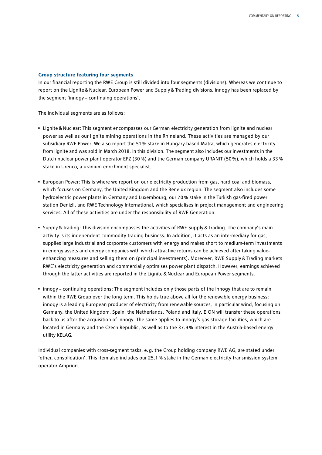#### **Group structure featuring four segments**

In our financial reporting the RWE Group is still divided into four segments (divisions). Whereas we continue to report on the Lignite&Nuclear, European Power and Supply&Trading divisions, innogy has been replaced by the segment 'innogy – continuing operations'.

The individual segments are as follows:

- Lignite&Nuclear: This segment encompasses our German electricity generation from lignite and nuclear power as well as our lignite mining operations in the Rhineland. These activities are managed by our subsidiary RWE Power. We also report the 51% stake in Hungary-based Mátra, which generates electricity from lignite and was sold in March 2018, in this division. The segment also includes our investments in the Dutch nuclear power plant operator EPZ (30%) and the German company URANIT (50%), which holds a 33% stake in Urenco, a uranium enrichment specialist.
- European Power: This is where we report on our electricity production from gas, hard coal and biomass, which focuses on Germany, the United Kingdom and the Benelux region. The segment also includes some hydroelectric power plants in Germany and Luxembourg, our 70% stake in the Turkish gas-fired power station Denizli, and RWE Technology International, which specialises in project management and engineering services. All of these activities are under the responsibility of RWE Generation.
- Supply&Trading: This division encompasses the activities of RWE Supply&Trading. The company's main activity is its independent commodity trading business. In addition, it acts as an intermediary for gas, supplies large industrial and corporate customers with energy and makes short to medium-term investments in energy assets and energy companies with which attractive returns can be achieved after taking valueenhancing measures and selling them on (principal investments). Moreover, RWE Supply & Trading markets RWE's electricity generation and commercially optimises power plant dispatch. However, earnings achieved through the latter activities are reported in the Lignite&Nuclear and European Power segments.
- innogy continuing operations: The segment includes only those parts of the innogy that are to remain within the RWE Group over the long term. This holds true above all for the renewable energy business: innogy is a leading European producer of electricity from renewable sources, in particular wind, focusing on Germany, the United Kingdom, Spain, the Netherlands, Poland and Italy. E.ON will transfer these operations back to us after the acquisition of innogy. The same applies to innogy's gas storage facilities, which are located in Germany and the Czech Republic, as well as to the 37.9% interest in the Austria-based energy utility KELAG.

Individual companies with cross-segment tasks, e.g. the Group holding company RWE AG, are stated under 'other, consolidation'. This item also includes our 25.1% stake in the German electricity transmission system operator Amprion.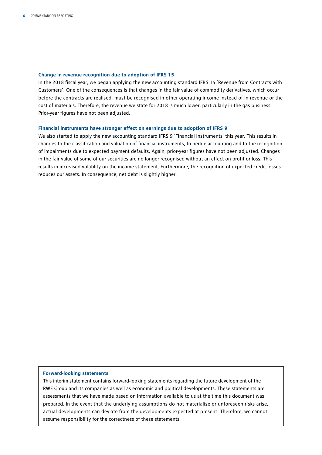#### **Change in revenue recognition due to adoption of IFRS 15**

In the 2018 fiscal year, we began applying the new accounting standard IFRS 15 'Revenue from Contracts with Customers'. One of the consequences is that changes in the fair value of commodity derivatives, which occur before the contracts are realised, must be recognised in other operating income instead of in revenue or the cost of materials. Therefore, the revenue we state for 2018 is much lower, particularly in the gas business. Prior-year figures have not been adjusted.

#### **Financial instruments have stronger effect on earnings due to adoption of IFRS 9**

We also started to apply the new accounting standard IFRS 9 'Financial Instruments' this year. This results in changes to the classification and valuation of financial instruments, to hedge accounting and to the recognition of impairments due to expected payment defaults. Again, prior-year figures have not been adjusted. Changes in the fair value of some of our securities are no longer recognised without an effect on profit or loss. This results in increased volatility on the income statement. Furthermore, the recognition of expected credit losses reduces our assets. In consequence, net debt is slightly higher.

#### **Forward-looking statements**

This interim statement contains forward-looking statements regarding the future development of the RWE Group and its companies as well as economic and political developments. These statements are assessments that we have made based on information available to us at the time this document was prepared. In the event that the underlying assumptions do not materialise or unforeseen risks arise, actual developments can deviate from the developments expected at present. Therefore, we cannot assume responsibility for the correctness of these statements.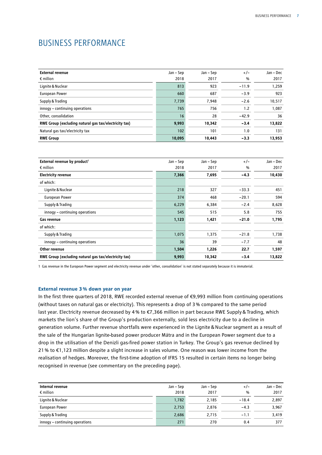## BUSINESS PERFORMANCE

| <b>External revenue</b><br>$\epsilon$ million         | Jan – Sep<br>2018 | Jan – Sep<br>2017 | $+/-$<br>% | Jan – Dec<br>2017 |
|-------------------------------------------------------|-------------------|-------------------|------------|-------------------|
| Lignite & Nuclear                                     | 813               | 923               | $-11.9$    | 1,259             |
| <b>European Power</b>                                 | 660               | 687               | $-3.9$     | 923               |
| Supply & Trading                                      | 7,739             | 7,948             | $-2.6$     | 10,517            |
| innogy - continuing operations                        | 765               | 756               | 1.2        | 1,087             |
| Other, consolidation                                  | 16                | 28                | $-42.9$    | 36                |
| RWE Group (excluding natural gas tax/electricity tax) | 9,993             | 10,342            | $-3.4$     | 13,822            |
| Natural gas tax/electricity tax                       | 102               | 101               | 1.0        | 131               |
| <b>RWE Group</b>                                      | 10,095            | 10,443            | $-3.3$     | 13,953            |

| External revenue by product <sup>1</sup>              | Jan – Sep | Jan – Sep | $+/-$         | Jan - Dec |
|-------------------------------------------------------|-----------|-----------|---------------|-----------|
| $\epsilon$ million                                    | 2018      | 2017      | $\frac{0}{0}$ | 2017      |
| <b>Electricity revenue</b>                            | 7,366     | 7,695     | $-4.3$        | 10,430    |
| of which:                                             |           |           |               |           |
| Lignite & Nuclear                                     | 218       | 327       | $-33.3$       | 451       |
| <b>European Power</b>                                 | 374       | 468       | $-20.1$       | 594       |
| Supply & Trading                                      | 6,229     | 6,384     | $-2.4$        | 8,628     |
| innogy - continuing operations                        | 545       | 515       | 5.8           | 755       |
| Gas revenue                                           | 1,123     | 1,421     | $-21.0$       | 1,795     |
| of which:                                             |           |           |               |           |
| Supply & Trading                                      | 1,075     | 1,375     | $-21.8$       | 1,738     |
| innogy - continuing operations                        | 36        | 39        | $-7.7$        | 48        |
| Other revenue                                         | 1,504     | 1,226     | 22.7          | 1,597     |
| RWE Group (excluding natural gas tax/electricity tax) | 9,993     | 10,342    | $-3.4$        | 13,822    |

1 Gas revenue in the European Power segment and electricity revenue under 'other, consolidation' is not stated separately because it is immaterial.

#### **External revenue 3% down year on year**

In the first three quarters of 2018, RWE recorded external revenue of €9,993 million from continuing operations (without taxes on natural gas or electricity). This represents a drop of 3% compared to the same period last year. Electricity revenue decreased by 4% to €7,366 million in part because RWE Supply&Trading, which markets the lion's share of the Group's production externally, sold less electricity due to a decline in generation volume. Further revenue shortfalls were experienced in the Lignite&Nuclear segment as a result of the sale of the Hungarian lignite-based power producer Mátra and in the European Power segment due to a drop in the utilisation of the Denizli gas-fired power station in Turkey. The Group's gas revenue declined by 21% to €1,123 million despite a slight increase in sales volume. One reason was lower income from the realisation of hedges. Moreover, the first-time adoption of IFRS 15 resulted in certain items no longer being recognised in revenue (see commentary on the preceding page).

| Internal revenue<br>$\epsilon$ million | Jan – Sep<br>2018 | Jan – Sep<br>2017 | $+/-$<br>$\frac{0}{0}$ | Jan - Dec<br>2017 |
|----------------------------------------|-------------------|-------------------|------------------------|-------------------|
| Lignite & Nuclear                      | 1,782             | 2,185             | $-18.4$                | 2,897             |
| <b>European Power</b>                  | 2,753             | 2,876             | $-4.3$                 | 3,967             |
| Supply & Trading                       | 2,686             | 2,715             | $-1.1$                 | 3,419             |
| innogy - continuing operations         | 271               | 270               | 0.4                    | 377               |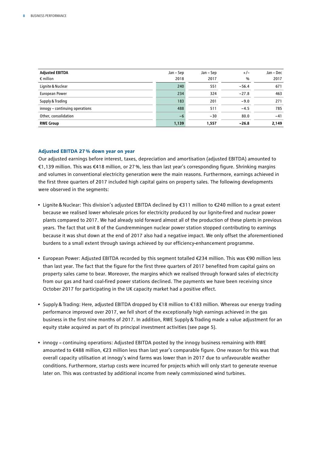| <b>Adjusted EBITDA</b>         | Jan – Sep | Jan – Sep | $+/-$   | Jan - Dec |
|--------------------------------|-----------|-----------|---------|-----------|
| $\epsilon$ million             | 2018      | 2017      | %       | 2017      |
| Lignite & Nuclear              | 240       | 551       | $-56.4$ | 671       |
| European Power                 | 234       | 324       | $-27.8$ | 463       |
| Supply & Trading               | 183       | 201       | $-9.0$  | 271       |
| innogy - continuing operations | 488       | 511       | $-4.5$  | 785       |
| Other, consolidation           | $-6$      | $-30$     | 80.0    | $-41$     |
| <b>RWE Group</b>               | 1,139     | 1,557     | $-26.8$ | 2,149     |

#### **Adjusted EBITDA 27% down year on year**

Our adjusted earnings before interest, taxes, depreciation and amortisation (adjusted EBITDA) amounted to €1,139 million. This was €418 million, or 27%, less than last year's corresponding figure. Shrinking margins and volumes in conventional electricity generation were the main reasons. Furthermore, earnings achieved in the first three quarters of 2017 included high capital gains on property sales. The following developments were observed in the segments:

- Lignite&Nuclear: This division's adjusted EBITDA declined by €311 million to €240 million to a great extent because we realised lower wholesale prices for electricity produced by our lignite-fired and nuclear power plants compared to 2017. We had already sold forward almost all of the production of these plants in previous years. The fact that unit B of the Gundremmingen nuclear power station stopped contributing to earnings because it was shut down at the end of 2017 also had a negative impact. We only offset the aforementioned burdens to a small extent through savings achieved by our efficiency-enhancement programme.
- European Power: Adjusted EBITDA recorded by this segment totalled €234 million. This was €90 million less than last year. The fact that the figure for the first three quarters of 2017 benefited from capital gains on property sales came to bear. Moreover, the margins which we realised through forward sales of electricity from our gas and hard coal-fired power stations declined. The payments we have been receiving since October 2017 for participating in the UK capacity market had a positive effect.
- Supply&Trading: Here, adjusted EBITDA dropped by €18 million to €183 million. Whereas our energy trading performance improved over 2017, we fell short of the exceptionally high earnings achieved in the gas business in the first nine months of 2017. In addition, RWE Supply&Trading made a value adjustment for an equity stake acquired as part of its principal investment activities (see page 5).
- innogy continuing operations: Adjusted EBITDA posted by the innogy business remaining with RWE amounted to €488 million, €23 million less than last year's comparable figure. One reason for this was that overall capacity utilisation at innogy's wind farms was lower than in 2017 due to unfavourable weather conditions. Furthermore, startup costs were incurred for projects which will only start to generate revenue later on. This was contrasted by additional income from newly commissioned wind turbines.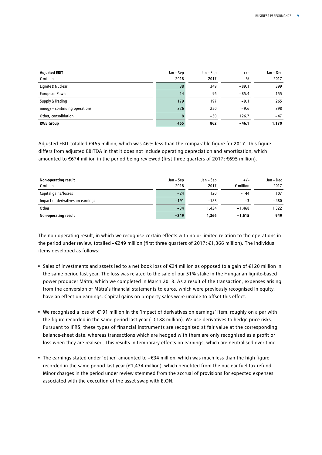| <b>Adjusted EBIT</b>           | Jan – Sep | Jan – Sep | $+/-$   | Jan - Dec |
|--------------------------------|-----------|-----------|---------|-----------|
| $\epsilon$ million             | 2018      | 2017      | %       | 2017      |
| Lignite & Nuclear              | 38        | 349       | $-89.1$ | 399       |
| European Power                 | 14        | 96        | $-85.4$ | 155       |
| Supply & Trading               | 179       | 197       | $-9.1$  | 265       |
| innogy - continuing operations | 226       | 250       | $-9.6$  | 398       |
| Other, consolidation           | 8         | $-30$     | 126.7   | $-47$     |
| <b>RWE Group</b>               | 465       | 862       | $-46.1$ | 1,170     |

Adjusted EBIT totalled €465 million, which was 46% less than the comparable figure for 2017. This figure differs from adjusted EBITDA in that it does not include operating depreciation and amortisation, which amounted to €674 million in the period being reviewed (first three quarters of 2017: €695 million).

| Non-operating result              | Jan – Sep | Jan – Sep | $+/-$              | Jan - Dec |
|-----------------------------------|-----------|-----------|--------------------|-----------|
| $\epsilon$ million                | 2018      | 2017      | $\epsilon$ million | 2017      |
| Capital gains/losses              | $-24$     | 120       | $-144$             | 107       |
| Impact of derivatives on earnings | $-191$    | $-188$    | -3                 | $-480$    |
| Other                             | $-34$     | 1.434     | $-1.468$           | 1.322     |
| Non-operating result              | $-249$    | 1.366     | $-1,615$           | 949       |

The non-operating result, in which we recognise certain effects with no or limited relation to the operations in the period under review, totalled –€249 million (first three quarters of 2017: €1,366 million). The individual items developed as follows:

- Sales of investments and assets led to a net book loss of €24 million as opposed to a gain of €120 million in the same period last year. The loss was related to the sale of our 51% stake in the Hungarian lignite-based power producer Mátra, which we completed in March 2018. As a result of the transaction, expenses arising from the conversion of Mátra's financial statements to euros, which were previously recognised in equity, have an effect on earnings. Capital gains on property sales were unable to offset this effect.
- We recognised a loss of €191 million in the 'impact of derivatives on earnings' item, roughly on a par with the figure recorded in the same period last year (–€188 million). We use derivatives to hedge price risks. Pursuant to IFRS, these types of financial instruments are recognised at fair value at the corresponding balance-sheet date, whereas transactions which are hedged with them are only recognised as a profit or loss when they are realised. This results in temporary effects on earnings, which are neutralised over time.
- The earnings stated under 'other' amounted to –€34 million, which was much less than the high figure recorded in the same period last year (€1,434 million), which benefited from the nuclear fuel tax refund. Minor charges in the period under review stemmed from the accrual of provisions for expected expenses associated with the execution of the asset swap with E.ON.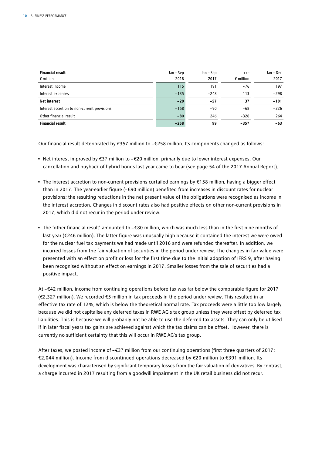| <b>Financial result</b>                      | Jan – Sep | Jan – Sep | $+/-$              | Jan - Dec |
|----------------------------------------------|-----------|-----------|--------------------|-----------|
| $\epsilon$ million                           | 2018      | 2017      | $\epsilon$ million | 2017      |
| Interest income                              | 115       | 191       | $-76$              | 197       |
| Interest expenses                            | $-135$    | $-248$    | 113                | $-298$    |
| <b>Net interest</b>                          | $-20$     | $-57$     | 37                 | $-101$    |
| Interest accretion to non-current provisions | $-158$    | $-90$     | $-68$              | $-226$    |
| Other financial result                       | $-80$     | 246       | $-326$             | 264       |
| <b>Financial result</b>                      | $-258$    | 99        | $-357$             | -63       |

Our financial result deteriorated by €357 million to –€258 million. Its components changed as follows:

- Net interest improved by €37 million to –€20 million, primarily due to lower interest expenses. Our cancellation and buyback of hybrid bonds last year came to bear (see page 54 of the 2017 Annual Report).
- The interest accretion to non-current provisions curtailed earnings by €158 million, having a bigger effect than in 2017. The year-earlier figure (–€90 million) benefited from increases in discount rates for nuclear provisions; the resulting reductions in the net present value of the obligations were recognised as income in the interest accretion. Changes in discount rates also had positive effects on other non-current provisions in 2017, which did not recur in the period under review.
- The 'other financial result' amounted to –€80 million, which was much less than in the first nine months of last year (€246 million). The latter figure was unusually high because it contained the interest we were owed for the nuclear fuel tax payments we had made until 2016 and were refunded thereafter. In addition, we incurred losses from the fair valuation of securities in the period under review. The changes in fair value were presented with an effect on profit or loss for the first time due to the initial adoption of IFRS 9, after having been recognised without an effect on earnings in 2017. Smaller losses from the sale of securities had a positive impact.

At –€42 million, income from continuing operations before tax was far below the comparable figure for 2017 (€2,327 million). We recorded €5 million in tax proceeds in the period under review. This resulted in an effective tax rate of 12%, which is below the theoretical normal rate. Tax proceeds were a little too low largely because we did not capitalise any deferred taxes in RWE AG's tax group unless they were offset by deferred tax liabilities. This is because we will probably not be able to use the deferred tax assets. They can only be utilised if in later fiscal years tax gains are achieved against which the tax claims can be offset. However, there is currently no sufficient certainty that this will occur in RWE AG's tax group.

After taxes, we posted income of –€37 million from our continuing operations (first three quarters of 2017: €2,044 million). Income from discontinued operations decreased by €20 million to €391 million. Its development was characterised by significant temporary losses from the fair valuation of derivatives. By contrast, a charge incurred in 2017 resulting from a goodwill impairment in the UK retail business did not recur.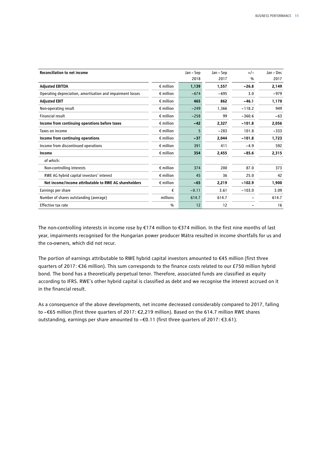| <b>Reconciliation to net income</b>                        |                    | Jan - Sep | Jan – Sep | $+/-$    | Jan – Dec |
|------------------------------------------------------------|--------------------|-----------|-----------|----------|-----------|
|                                                            |                    | 2018      | 2017      | %        | 2017      |
| <b>Adjusted EBITDA</b>                                     | $\epsilon$ million | 1,139     | 1,557     | $-26.8$  | 2,149     |
| Operating depreciation, amortisation and impairment losses | $\epsilon$ million | $-674$    | $-695$    | 3.0      | $-979$    |
| <b>Adjusted EBIT</b>                                       | $\epsilon$ million | 465       | 862       | $-46.1$  | 1,170     |
| Non-operating result                                       | $\epsilon$ million | $-249$    | 1,366     | $-118.2$ | 949       |
| Financial result                                           | $\epsilon$ million | $-258$    | 99        | $-360.6$ | $-63$     |
| Income from continuing operations before taxes             | $\epsilon$ million | $-42$     | 2,327     | $-101.8$ | 2,056     |
| Taxes on income                                            | $\epsilon$ million | 5         | $-283$    | 101.8    | $-333$    |
| Income from continuing operations                          | $\epsilon$ million | $-37$     | 2,044     | $-101.8$ | 1,723     |
| Income from discontinued operations                        | $\epsilon$ million | 391       | 411       | $-4.9$   | 592       |
| Income                                                     | $\epsilon$ million | 354       | 2,455     | $-85.6$  | 2,315     |
| of which:                                                  |                    |           |           |          |           |
| Non-controlling interests                                  | $\epsilon$ million | 374       | 200       | 87.0     | 373       |
| RWE AG hybrid capital investors' interest                  | $\epsilon$ million | 45        | 36        | 25.0     | 42        |
| Net income/income attributable to RWE AG shareholders      | $\epsilon$ million | $-65$     | 2,219     | $-102.9$ | 1,900     |
| Earnings per share                                         | €                  | $-0.11$   | 3.61      | $-103.0$ | 3.09      |
| Number of shares outstanding (average)                     | millions           | 614.7     | 614.7     |          | 614.7     |
| Effective tax rate                                         | $\frac{0}{0}$      | 12        | 12        |          | 16        |

The non-controlling interests in income rose by €174 million to €374 million. In the first nine months of last year, impairments recognised for the Hungarian power producer Mátra resulted in income shortfalls for us and the co-owners, which did not recur.

The portion of earnings attributable to RWE hybrid capital investors amounted to €45 million (first three quarters of 2017: €36 million). This sum corresponds to the finance costs related to our £750 million hybrid bond. The bond has a theoretically perpetual tenor. Therefore, associated funds are classified as equity according to IFRS. RWE's other hybrid capital is classified as debt and we recognise the interest accrued on it in the financial result.

As a consequence of the above developments, net income decreased considerably compared to 2017, falling to –€65 million (first three quarters of 2017: €2,219 million). Based on the 614.7 million RWE shares outstanding, earnings per share amounted to –€0.11 (first three quarters of 2017: €3.61).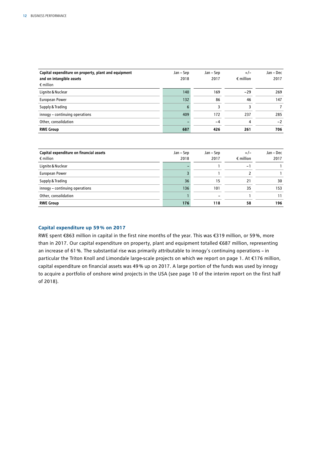| Capital expenditure on property, plant and equipment<br>and on intangible assets<br>$\epsilon$ million | Jan – Sep<br>2018 | Jan – Sep<br>2017 | $+/-$<br>$\epsilon$ million | Jan – Dec<br>2017 |
|--------------------------------------------------------------------------------------------------------|-------------------|-------------------|-----------------------------|-------------------|
| Lignite & Nuclear                                                                                      | 140               | 169               | $-29$                       | 269               |
| European Power                                                                                         | 132               | 86                | 46                          | 147               |
| Supply & Trading                                                                                       | 6                 | 3                 |                             |                   |
| innogy - continuing operations                                                                         | 409               | 172               | 237                         | 285               |
| Other, consolidation                                                                                   |                   | $-4$              | 4                           | $-2$              |
| <b>RWE Group</b>                                                                                       | 687               | 426               | 261                         | 706               |

| Capital expenditure on financial assets | Jan – Sep | Jan – Sep | $+/-$              | Jan – Dec |
|-----------------------------------------|-----------|-----------|--------------------|-----------|
| $\epsilon$ million                      | 2018      | 2017      | $\epsilon$ million | 2017      |
| Lignite & Nuclear                       |           |           | - 1                |           |
| European Power                          |           |           |                    |           |
| Supply & Trading                        | 36        | 15        | 21                 | 30        |
| innogy - continuing operations          | 136       | 101       | 35                 | 153       |
| Other, consolidation                    |           |           |                    | 11        |
| <b>RWE Group</b>                        | 176       | 118       | 58                 | 196       |

#### **Capital expenditure up 59% on 2017**

RWE spent €863 million in capital in the first nine months of the year. This was €319 million, or 59%, more than in 2017. Our capital expenditure on property, plant and equipment totalled €687 million, representing an increase of 61%. The substantial rise was primarily attributable to innogy's continuing operations – in particular the Triton Knoll and Limondale large-scale projects on which we report on page 1. At €176 million, capital expenditure on financial assets was 49% up on 2017. A large portion of the funds was used by innogy to acquire a portfolio of onshore wind projects in the USA (see page 10 of the interim report on the first half of 2018).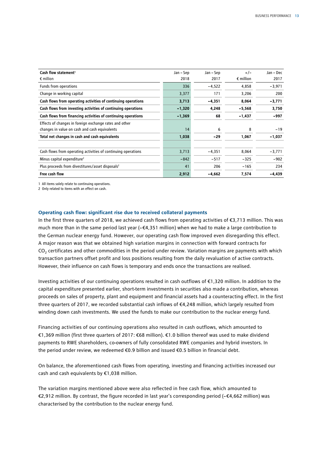| Cash flow statement <sup>1</sup>                              | Jan – Sep | Jan – Sep | $+/-$              | Jan - Dec |
|---------------------------------------------------------------|-----------|-----------|--------------------|-----------|
| $\epsilon$ million                                            | 2018      | 2017      | $\epsilon$ million | 2017      |
| Funds from operations                                         | 336       | $-4,522$  | 4,858              | $-3,971$  |
| Change in working capital                                     | 3,377     | 171       | 3,206              | 200       |
| Cash flows from operating activities of continuing operations | 3,713     | $-4,351$  | 8,064              | $-3,771$  |
| Cash flows from investing activities of continuing operations | $-1,320$  | 4,248     | $-5,568$           | 3,750     |
| Cash flows from financing activities of continuing operations | $-1,369$  | 68        | $-1,437$           | -997      |
| Effects of changes in foreign exchange rates and other        |           |           |                    |           |
| changes in value on cash and cash equivalents                 | 14        | 6         | 8                  | $-19$     |
| Total net changes in cash and cash equivalents                | 1,038     | $-29$     | 1,067              | $-1,037$  |
| Cash flows from operating activities of continuing operations | 3,713     | $-4,351$  | 8,064              | $-3,771$  |
| Minus capital expenditure <sup>2</sup>                        | $-842$    | $-517$    | $-325$             | $-902$    |
| Plus proceeds from divestitures/asset disposals <sup>2</sup>  | 41        | 206       | $-165$             | 234       |
| Free cash flow                                                | 2,912     | $-4,662$  | 7,574              | $-4,439$  |

1 All items solely relate to continuing operations.

2 Only related to items with an effect on cash.

#### **Operating cash flow: significant rise due to received collateral payments**

In the first three quarters of 2018, we achieved cash flows from operating activities of €3,713 million. This was much more than in the same period last year (– $\epsilon$ 4,351 million) when we had to make a large contribution to the German nuclear energy fund. However, our operating cash flow improved even disregarding this effect. A major reason was that we obtained high variation margins in connection with forward contracts for CO<sub>2</sub> certificates and other commodities in the period under review. Variation margins are payments with which transaction partners offset profit and loss positions resulting from the daily revaluation of active contracts. However, their influence on cash flows is temporary and ends once the transactions are realised.

Investing activities of our continuing operations resulted in cash outflows of €1,320 million. In addition to the capital expenditure presented earlier, short-term investments in securities also made a contribution, whereas proceeds on sales of property, plant and equipment and financial assets had a counteracting effect. In the first three quarters of 2017, we recorded substantial cash inflows of €4,248 million, which largely resulted from winding down cash investments. We used the funds to make our contribution to the nuclear energy fund.

Financing activities of our continuing operations also resulted in cash outflows, which amounted to €1,369 million (first three quarters of 2017: €68 million). €1.0 billion thereof was used to make dividend payments to RWE shareholders, co-owners of fully consolidated RWE companies and hybrid investors. In the period under review, we redeemed €0.9 billion and issued €0.5 billion in financial debt.

On balance, the aforementioned cash flows from operating, investing and financing activities increased our cash and cash equivalents by €1,038 million.

The variation margins mentioned above were also reflected in free cash flow, which amounted to €2,912 million. By contrast, the figure recorded in last year's corresponding period (–€4,662 million) was characterised by the contribution to the nuclear energy fund.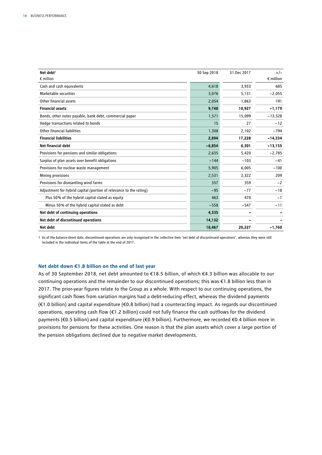| Net debt <sup>1</sup>                                              | 30 Sep 2018 | 31 Dec 2017 | $+/-$              |
|--------------------------------------------------------------------|-------------|-------------|--------------------|
| $\epsilon$ million                                                 |             |             | $\epsilon$ million |
| Cash and cash equivalents                                          | 4,618       | 3,933       | 685                |
| Marketable securities                                              | 3,076       | 5,131       | $-2,055$           |
| Other financial assets                                             | 2,054       | 1,863       | 191                |
| <b>Financial assets</b>                                            | 9,748       | 10,927      | $-1,179$           |
| Bonds, other notes payable, bank debt, commercial paper            | 1,571       | 15,099      | $-13,528$          |
| Hedge transactions related to bonds                                | 15          | 27          | $-12$              |
| Other financial liabilities                                        | 1,308       | 2,102       | $-794$             |
| <b>Financial liabilities</b>                                       | 2,894       | 17,228      | $-14,334$          |
| Net financial debt                                                 | $-6,854$    | 6,301       | $-13,155$          |
| Provisions for pensions and similar obligations                    | 2,635       | 5.420       | $-2,785$           |
| Surplus of plan assets over benefit obligations                    | $-144$      | $-103$      | $-41$              |
| Provisions for nuclear waste management                            | 5,905       | 6,005       | $-100$             |
| Mining provisions                                                  | 2,531       | 2,322       | 209                |
| Provisions for dismantling wind farms                              | 357         | 359         | $-2$               |
| Adjustment for hybrid capital (portion of relevance to the rating) | $-95$       | $-77$       | $-18$              |
| Plus 50% of the hybrid capital stated as equity                    | 463         | 470         | $-7$               |
| Minus 50% of the hybrid capital stated as debt                     | $-558$      | $-547$      | $-11$              |
| Net debt of continuing operations                                  | 4,335       |             |                    |
| Net debt of discontinued operations                                | 14,132      |             |                    |
| Net debt                                                           | 18,467      | 20,227      | $-1,760$           |

1 As of the balance-sheet date, discontinued operations are only recognised in the collective item 'net debt of discontinued operations', whereas they were still included in the individual items of the table at the end of 2017.

#### **Net debt down €1.8 billion on the end of last year**

As of 30 September 2018, net debt amounted to €18.5 billion, of which €4.3 billion was allocable to our continuing operations and the remainder to our discontinued operations; this was €1.8 billion less than in 2017. The prior-year figures relate to the Group as a whole. With respect to our continuing operations, the significant cash flows from variation margins had a debt-reducing effect, whereas the dividend payments (€1.0 billion) and capital expenditure (€0.8 billion) had a counteracting impact. As regards our discontinued operations, operating cash flow (€1.2 billion) could not fully finance the cash outflows for the dividend payments (€0.5 billion) and capital expenditure (€0.9 billion). Furthermore, we recorded €0.4 billion more in provisions for pensions for these activities. One reason is that the plan assets which cover a large portion of the pension obligations declined due to negative market developments.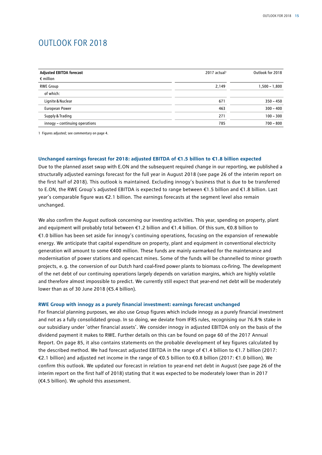## OUTLOOK FOR 2018

| <b>Adjusted EBITDA forecast</b><br>$\epsilon$ million | 2017 actual <sup>1</sup> | Outlook for 2018 |
|-------------------------------------------------------|--------------------------|------------------|
| <b>RWE Group</b>                                      | 2,149                    | $1,500 - 1,800$  |
| of which:                                             |                          |                  |
| Lignite & Nuclear                                     | 671                      | $350 - 450$      |
| European Power                                        | 463                      | $300 - 400$      |
| Supply & Trading                                      | 271                      | $100 - 300$      |
| innogy - continuing operations                        | 785                      | $700 - 800$      |

1 Figures adjusted; see commentary on page 4.

#### **Unchanged earnings forecast for 2018: adjusted EBITDA of €1.5 billion to €1.8 billion expected**

Due to the planned asset swap with E.ON and the subsequent required change in our reporting, we published a structurally adjusted earnings forecast for the full year in August 2018 (see page 26 of the interim report on the first half of 2018). This outlook is maintained. Excluding innogy's business that is due to be transferred to E.ON, the RWE Group's adjusted EBITDA is expected to range between €1.5 billion and €1.8 billion. Last year's comparable figure was €2.1 billion. The earnings forecasts at the segment level also remain unchanged.

We also confirm the August outlook concerning our investing activities. This year, spending on property, plant and equipment will probably total between €1.2 billion and €1.4 billion. Of this sum, €0.8 billion to €1.0 billion has been set aside for innogy's continuing operations, focusing on the expansion of renewable energy. We anticipate that capital expenditure on property, plant and equipment in conventional electricity generation will amount to some €400 million. These funds are mainly earmarked for the maintenance and modernisation of power stations and opencast mines. Some of the funds will be channelled to minor growth projects, e. g. the conversion of our Dutch hard coal-fired power plants to biomass co-firing. The development of the net debt of our continuing operations largely depends on variation margins, which are highly volatile and therefore almost impossible to predict. We currently still expect that year-end net debt will be moderately lower than as of 30 June 2018 (€5.4 billion).

#### **RWE Group with innogy as a purely financial investment: earnings forecast unchanged**

For financial planning purposes, we also use Group figures which include innogy as a purely financial investment and not as a fully consolidated group. In so doing, we deviate from IFRS rules, recognising our 76.8 % stake in our subsidiary under 'other financial assets'. We consider innogy in adjusted EBITDA only on the basis of the dividend payment it makes to RWE. Further details on this can be found on page 60 of the 2017 Annual Report. On page 85, it also contains statements on the probable development of key figures calculated by the described method. We had forecast adjusted EBITDA in the range of €1.4 billion to €1.7 billion (2017: €2.1 billion) and adjusted net income in the range of €0.5 billion to €0.8 billion (2017: €1.0 billion). We confirm this outlook. We updated our forecast in relation to year-end net debt in August (see page 26 of the interim report on the first half of 2018) stating that it was expected to be moderately lower than in 2017 (€4.5 billion). We uphold this assessment.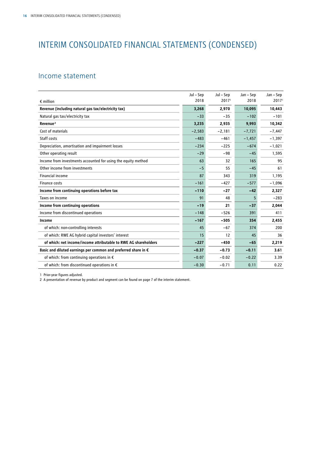## INTERIM CONSOLIDATED FINANCIAL STATEMENTS (CONDENSED)

## Income statement

|                                                                         | Jul – Sep | Jul – Sep         | Jan – Sep | Jan - Sep         |
|-------------------------------------------------------------------------|-----------|-------------------|-----------|-------------------|
| $\epsilon$ million                                                      | 2018      | 2017 <sup>1</sup> | 2018      | 2017 <sup>1</sup> |
| Revenue (including natural gas tax/electricity tax)                     | 3,268     | 2,970             | 10,095    | 10,443            |
| Natural gas tax/electricity tax                                         | $-33$     | $-35$             | $-102$    | $-101$            |
| Revenue <sup>2</sup>                                                    | 3,235     | 2,935             | 9,993     | 10,342            |
| Cost of materials                                                       | $-2,583$  | $-2,181$          | $-7,721$  | $-7,447$          |
| Staff costs                                                             | $-483$    | $-461$            | $-1,457$  | $-1,397$          |
| Depreciation, amortisation and impairment losses                        | $-234$    | $-225$            | $-674$    | $-1,021$          |
| Other operating result                                                  | $-29$     | $-98$             | $-45$     | 1,595             |
| Income from investments accounted for using the equity method           | 63        | 32                | 165       | 95                |
| Other income from investments                                           | $-5$      | 55                | $-45$     | 61                |
| <b>Financial income</b>                                                 | 87        | 343               | 319       | 1,195             |
| <b>Finance costs</b>                                                    | $-161$    | $-427$            | $-577$    | $-1,096$          |
| Income from continuing operations before tax                            | $-110$    | $-27$             | $-42$     | 2,327             |
| Taxes on income                                                         | 91        | 48                | 5         | $-283$            |
| Income from continuing operations                                       | $-19$     | 21                | $-37$     | 2,044             |
| Income from discontinued operations                                     | $-148$    | $-526$            | 391       | 411               |
| Income                                                                  | $-167$    | $-505$            | 354       | 2,455             |
| of which: non-controlling interests                                     | 45        | $-67$             | 374       | 200               |
| of which: RWE AG hybrid capital investors' interest                     | 15        | 12                | 45        | 36                |
| of which: net income/income attributable to RWE AG shareholders         | $-227$    | $-450$            | $-65$     | 2,219             |
| Basic and diluted earnings per common and preferred share in $\epsilon$ | $-0.37$   | $-0.73$           | $-0.11$   | 3.61              |
| of which: from continuing operations in $\epsilon$                      | $-0.07$   | $-0.02$           | $-0.22$   | 3.39              |
| of which: from discontinued operations in €                             | $-0.30$   | $-0.71$           | 0.11      | 0.22              |

1 Prior-year figures adjusted.

2 A presentation of revenue by product and segment can be found on page 7 of the interim statement.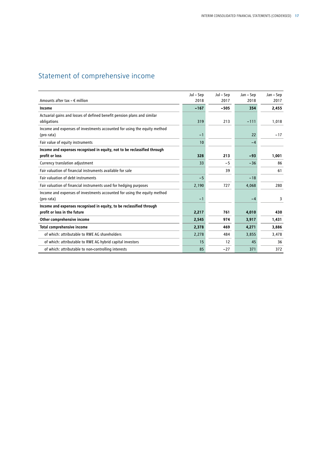## Statement of comprehensive income

|                                                                                        | Jul – Sep | Jul – Sep | Jan – Sep | Jan – Sep |
|----------------------------------------------------------------------------------------|-----------|-----------|-----------|-----------|
| Amounts after tax $- \epsilon$ million                                                 | 2018      | 2017      | 2018      | 2017      |
| Income                                                                                 | $-167$    | $-505$    | 354       | 2,455     |
| Actuarial gains and losses of defined benefit pension plans and similar<br>obligations | 319       | 213       | $-111$    | 1,018     |
| Income and expenses of investments accounted for using the equity method<br>(pro rata) | $-1$      |           | 22        | $-17$     |
| Fair value of equity instruments                                                       | 10        |           | $-4$      |           |
| Income and expenses recognised in equity, not to be reclassified through               |           |           |           |           |
| profit or loss                                                                         | 328       | 213       | $-93$     | 1,001     |
| Currency translation adjustment                                                        | 33        | $-5$      | $-36$     | 86        |
| Fair valuation of financial instruments available for sale                             |           | 39        |           | 61        |
| Fair valuation of debt instruments                                                     | $-5$      |           | $-18$     |           |
| Fair valuation of financial instruments used for hedging purposes                      | 2,190     | 727       | 4,068     | 280       |
| Income and expenses of investments accounted for using the equity method<br>(pro rata) | $-1$      |           | $-4$      | 3         |
| Income and expenses recognised in equity, to be reclassified through                   |           |           |           |           |
| profit or loss in the future                                                           | 2,217     | 761       | 4,010     | 430       |
| Other comprehensive income                                                             | 2,545     | 974       | 3,917     | 1,431     |
| Total comprehensive income                                                             | 2,378     | 469       | 4,271     | 3,886     |
| of which: attributable to RWE AG shareholders                                          | 2,278     | 484       | 3,855     | 3,478     |
| of which: attributable to RWE AG hybrid capital investors                              | 15        | 12        | 45        | 36        |
| of which: attributable to non-controlling interests                                    | 85        | $-27$     | 371       | 372       |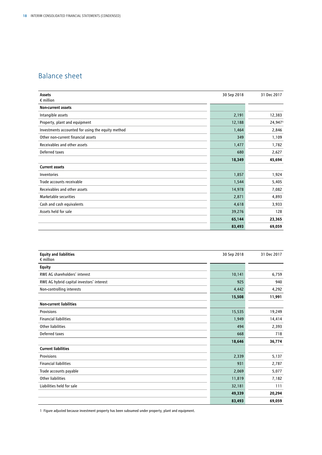## Balance sheet

| Assets<br>$\epsilon$ million                      | 30 Sep 2018 | 31 Dec 2017 |
|---------------------------------------------------|-------------|-------------|
|                                                   |             |             |
| <b>Non-current assets</b>                         |             |             |
| Intangible assets                                 | 2,191       | 12,383      |
| Property, plant and equipment                     | 12,188      | 24,9471     |
| Investments accounted for using the equity method | 1,464       | 2,846       |
| Other non-current financial assets                | 349         | 1,109       |
| Receivables and other assets                      | 1,477       | 1,782       |
| Deferred taxes                                    | 680         | 2,627       |
|                                                   | 18,349      | 45,694      |
| <b>Current assets</b>                             |             |             |
| Inventories                                       | 1,857       | 1,924       |
| Trade accounts receivable                         | 1,544       | 5,405       |
| Receivables and other assets                      | 14,978      | 7,082       |
| Marketable securities                             | 2,871       | 4,893       |
| Cash and cash equivalents                         | 4,618       | 3,933       |
| Assets held for sale                              | 39,276      | 128         |
|                                                   | 65,144      | 23,365      |
|                                                   | 83,493      | 69,059      |

| <b>Equity and liabilities</b><br>$\epsilon$ million | 30 Sep 2018 | 31 Dec 2017 |
|-----------------------------------------------------|-------------|-------------|
| <b>Equity</b>                                       |             |             |
| RWE AG shareholders' interest                       | 10,141      | 6,759       |
| RWE AG hybrid capital investors' interest           | 925         | 940         |
| Non-controlling interests                           | 4,442       | 4,292       |
|                                                     | 15,508      | 11,991      |
| <b>Non-current liabilities</b>                      |             |             |
| Provisions                                          | 15,535      | 19,249      |
| <b>Financial liabilities</b>                        | 1,949       | 14,414      |
| <b>Other liabilities</b>                            | 494         | 2,393       |
| Deferred taxes                                      | 668         | 718         |
|                                                     | 18,646      | 36,774      |
| <b>Current liabilities</b>                          |             |             |
| Provisions                                          | 2,339       | 5,137       |
| <b>Financial liabilities</b>                        | 931         | 2,787       |
| Trade accounts payable                              | 2,069       | 5,077       |
| Other liabilities                                   | 11,819      | 7,182       |
| Liabilities held for sale                           | 32,181      | 111         |
|                                                     | 49,339      | 20,294      |
|                                                     | 83,493      | 69,059      |

1 Figure adjusted because investment property has been subsumed under property, plant and equipment.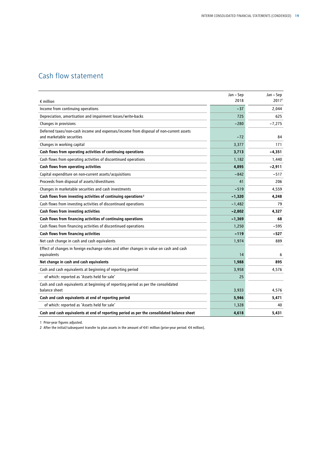## Cash flow statement

|                                                                                                                     | Jan - Sep | Jan - Sep         |
|---------------------------------------------------------------------------------------------------------------------|-----------|-------------------|
| $\epsilon$ million                                                                                                  | 2018      | 2017 <sup>1</sup> |
| Income from continuing operations                                                                                   | $-37$     | 2,044             |
| Depreciation, amortisation and impairment losses/write-backs                                                        | 725       | 625               |
| Changes in provisions                                                                                               | $-280$    | $-7,275$          |
| Deferred taxes/non-cash income and expenses/income from disposal of non-current assets<br>and marketable securities | $-72$     | 84                |
| Changes in working capital                                                                                          | 3,377     | 171               |
| Cash flows from operating activities of continuing operations                                                       | 3,713     | $-4,351$          |
| Cash flows from operating activities of discontinued operations                                                     | 1,182     | 1,440             |
| Cash flows from operating activities                                                                                | 4,895     | $-2,911$          |
| Capital expenditure on non-current assets/acquisitions                                                              | $-842$    | $-517$            |
| Proceeds from disposal of assets/divestitures                                                                       | 41        | 206               |
| Changes in marketable securities and cash investments                                                               | $-519$    | 4,559             |
| Cash flows from investing activities of continuing operations <sup>2</sup>                                          | $-1,320$  | 4,248             |
| Cash flows from investing activities of discontinued operations                                                     | $-1,482$  | 79                |
| Cash flows from investing activities                                                                                | $-2,802$  | 4,327             |
| Cash flows from financing activities of continuing operations                                                       | $-1,369$  | 68                |
| Cash flows from financing activities of discontinued operations                                                     | 1,250     | -595              |
| Cash flows from financing activities                                                                                | $-119$    | -527              |
| Net cash change in cash and cash equivalents                                                                        | 1,974     | 889               |
| Effect of changes in foreign exchange rates and other changes in value on cash and cash                             |           |                   |
| equivalents                                                                                                         | 14        | 6                 |
| Net change in cash and cash equivalents                                                                             | 1,988     | 895               |
| Cash and cash equivalents at beginning of reporting period                                                          | 3,958     | 4,576             |
| of which: reported as 'Assets held for sale'                                                                        | 25        |                   |
| Cash and cash equivalents at beginning of reporting period as per the consolidated<br>balance sheet                 | 3,933     | 4.576             |
| Cash and cash equivalents at end of reporting period                                                                | 5,946     | 5.471             |
| of which: reported as 'Assets held for sale'                                                                        | 1,328     | 40                |
| Cash and cash equivalents at end of reporting period as per the consolidated balance sheet                          | 4,618     | 5,431             |

1 Prior-year figures adjusted.

2 After the initial/subsequent transfer to plan assets in the amount of €41 million (prior-year period: €4 million).